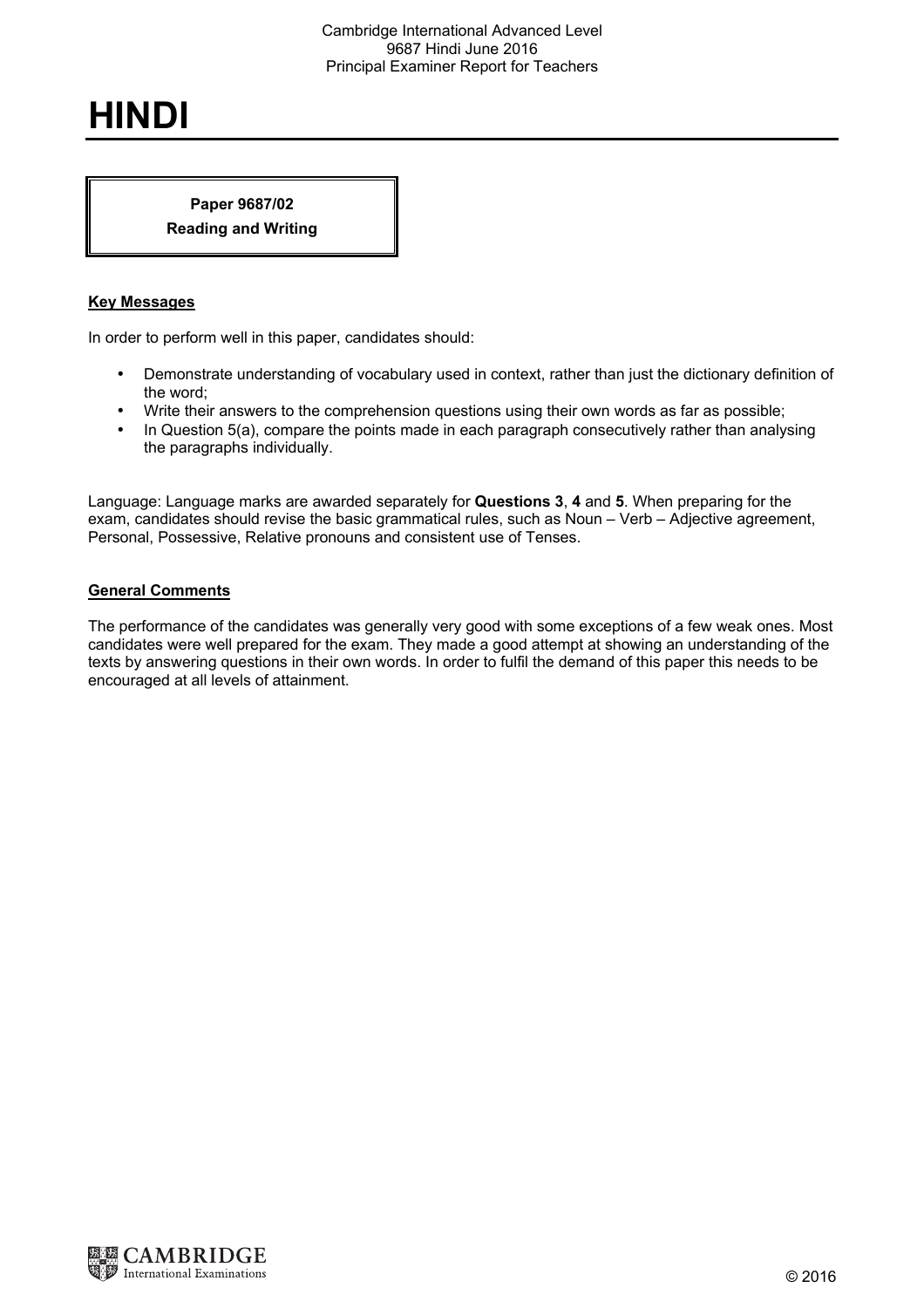## **HINDI**

## **Paper 9687/02 Reading and Writing**

## **Key Messages**

In order to perform well in this paper, candidates should:

- Demonstrate understanding of vocabulary used in context, rather than just the dictionary definition of the word;
- Write their answers to the comprehension questions using their own words as far as possible;
- In Question 5(a), compare the points made in each paragraph consecutively rather than analysing the paragraphs individually.

Language: Language marks are awarded separately for **Questions 3**, **4** and **5**. When preparing for the exam, candidates should revise the basic grammatical rules, such as Noun – Verb – Adjective agreement, Personal, Possessive, Relative pronouns and consistent use of Tenses.

## **General Comments**

The performance of the candidates was generally very good with some exceptions of a few weak ones. Most candidates were well prepared for the exam. They made a good attempt at showing an understanding of the texts by answering questions in their own words. In order to fulfil the demand of this paper this needs to be encouraged at all levels of attainment.

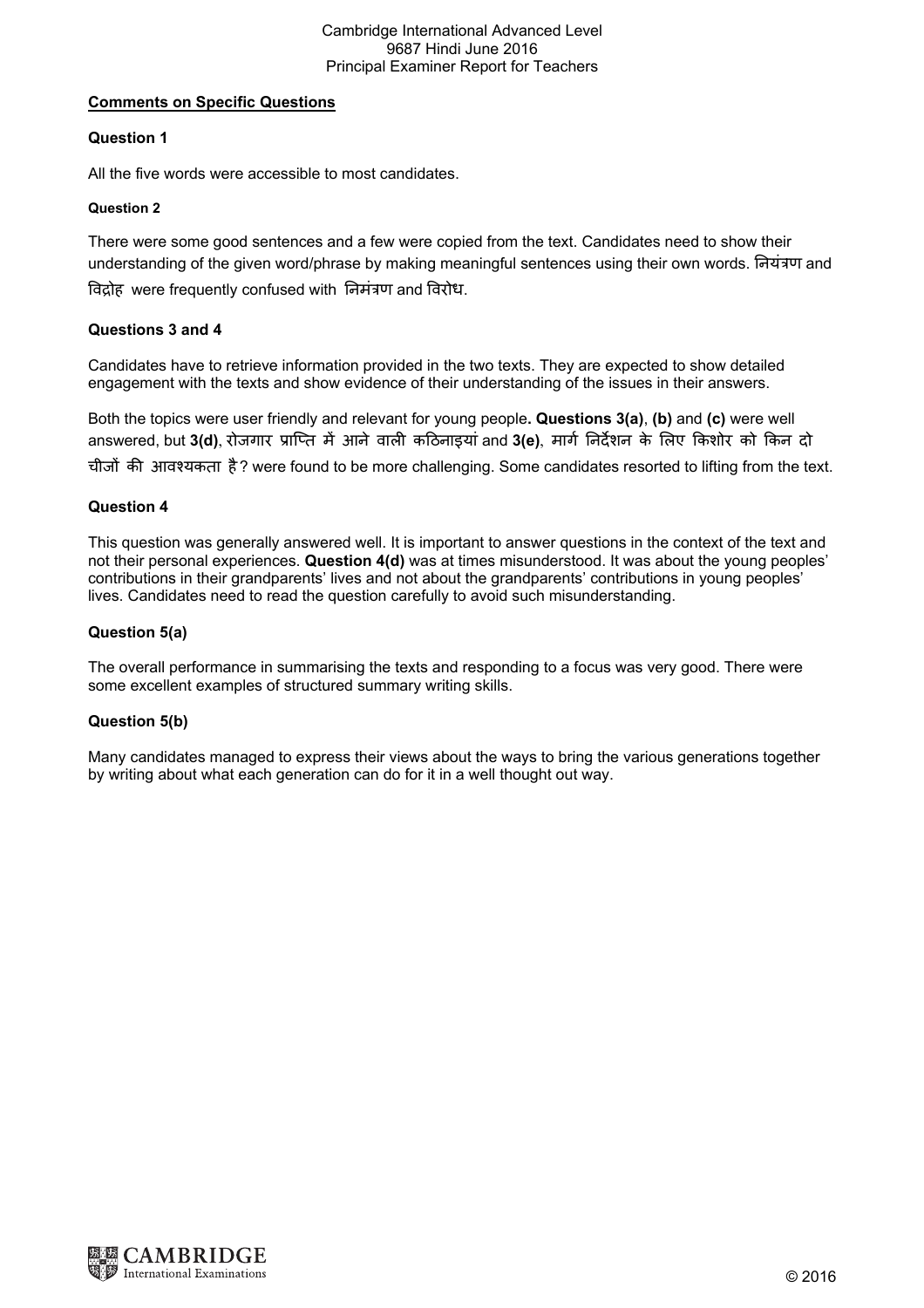## **Comments on Specific Questions**

## **Question 1**

All the five words were accessible to most candidates.

#### **Question 2**

There were some good sentences and a few were copied from the text. Candidates need to show their understanding of the given word/phrase by making meaningful sentences using their own words. नियंत्रण and विद्रोह were frequently confused with निमंत्रण and विरोध.

### **Questions 3 and 4**

Candidates have to retrieve information provided in the two texts. They are expected to show detailed engagement with the texts and show evidence of their understanding of the issues in their answers.

Both the topics were user friendly and relevant for young people**. Questions 3(a)**, **(b)** and **(c)** were well answered, but 3(d), रोजगार प्राप्ति में आने वाली कठिनाइयां and 3(e), मार्ग निर्देशन के लिए किशोर को किन दो चीजों की आवश्यकता है? were found to be more challenging. Some candidates resorted to lifting from the text.

### **Question 4**

This question was generally answered well. It is important to answer questions in the context of the text and not their personal experiences. **Question 4(d)** was at times misunderstood. It was about the young peoples' contributions in their grandparents' lives and not about the grandparents' contributions in young peoples' lives. Candidates need to read the question carefully to avoid such misunderstanding.

#### **Question 5(a)**

The overall performance in summarising the texts and responding to a focus was very good. There were some excellent examples of structured summary writing skills.

## **Question 5(b)**

Many candidates managed to express their views about the ways to bring the various generations together by writing about what each generation can do for it in a well thought out way.

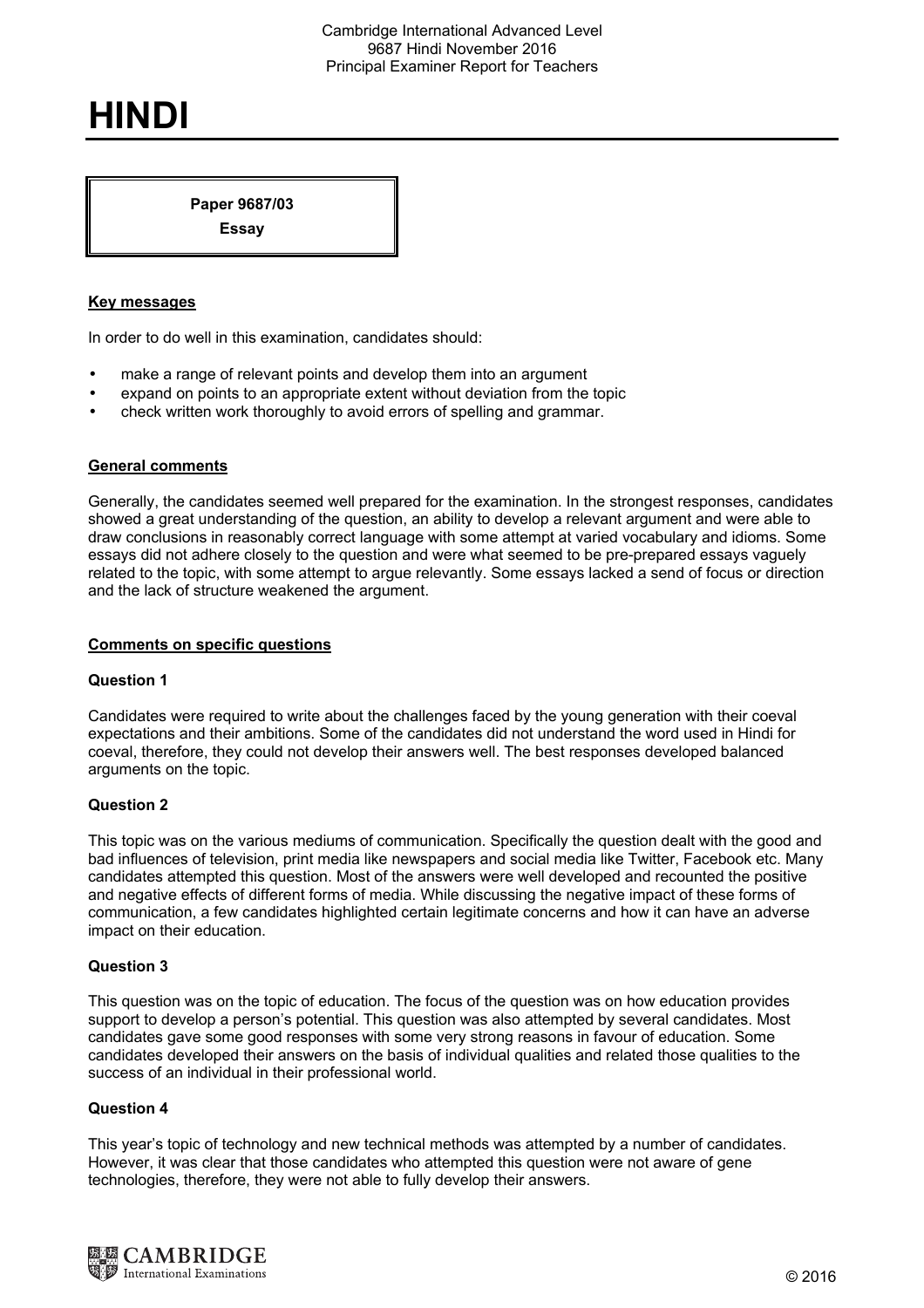# **HINDI**

**Paper 9687/03 Essay** 

## **Key messages**

In order to do well in this examination, candidates should:

- make a range of relevant points and develop them into an argument
- expand on points to an appropriate extent without deviation from the topic
- check written work thoroughly to avoid errors of spelling and grammar.

#### **General comments**

Generally, the candidates seemed well prepared for the examination. In the strongest responses, candidates showed a great understanding of the question, an ability to develop a relevant argument and were able to draw conclusions in reasonably correct language with some attempt at varied vocabulary and idioms. Some essays did not adhere closely to the question and were what seemed to be pre-prepared essays vaguely related to the topic, with some attempt to argue relevantly. Some essays lacked a send of focus or direction and the lack of structure weakened the argument.

#### **Comments on specific questions**

#### **Question 1**

Candidates were required to write about the challenges faced by the young generation with their coeval expectations and their ambitions. Some of the candidates did not understand the word used in Hindi for coeval, therefore, they could not develop their answers well. The best responses developed balanced arguments on the topic.

#### **Question 2**

This topic was on the various mediums of communication. Specifically the question dealt with the good and bad influences of television, print media like newspapers and social media like Twitter, Facebook etc. Many candidates attempted this question. Most of the answers were well developed and recounted the positive and negative effects of different forms of media. While discussing the negative impact of these forms of communication, a few candidates highlighted certain legitimate concerns and how it can have an adverse impact on their education.

#### **Question 3**

This question was on the topic of education. The focus of the question was on how education provides support to develop a person's potential. This question was also attempted by several candidates. Most candidates gave some good responses with some very strong reasons in favour of education. Some candidates developed their answers on the basis of individual qualities and related those qualities to the success of an individual in their professional world.

#### **Question 4**

This year's topic of technology and new technical methods was attempted by a number of candidates. However, it was clear that those candidates who attempted this question were not aware of gene technologies, therefore, they were not able to fully develop their answers.

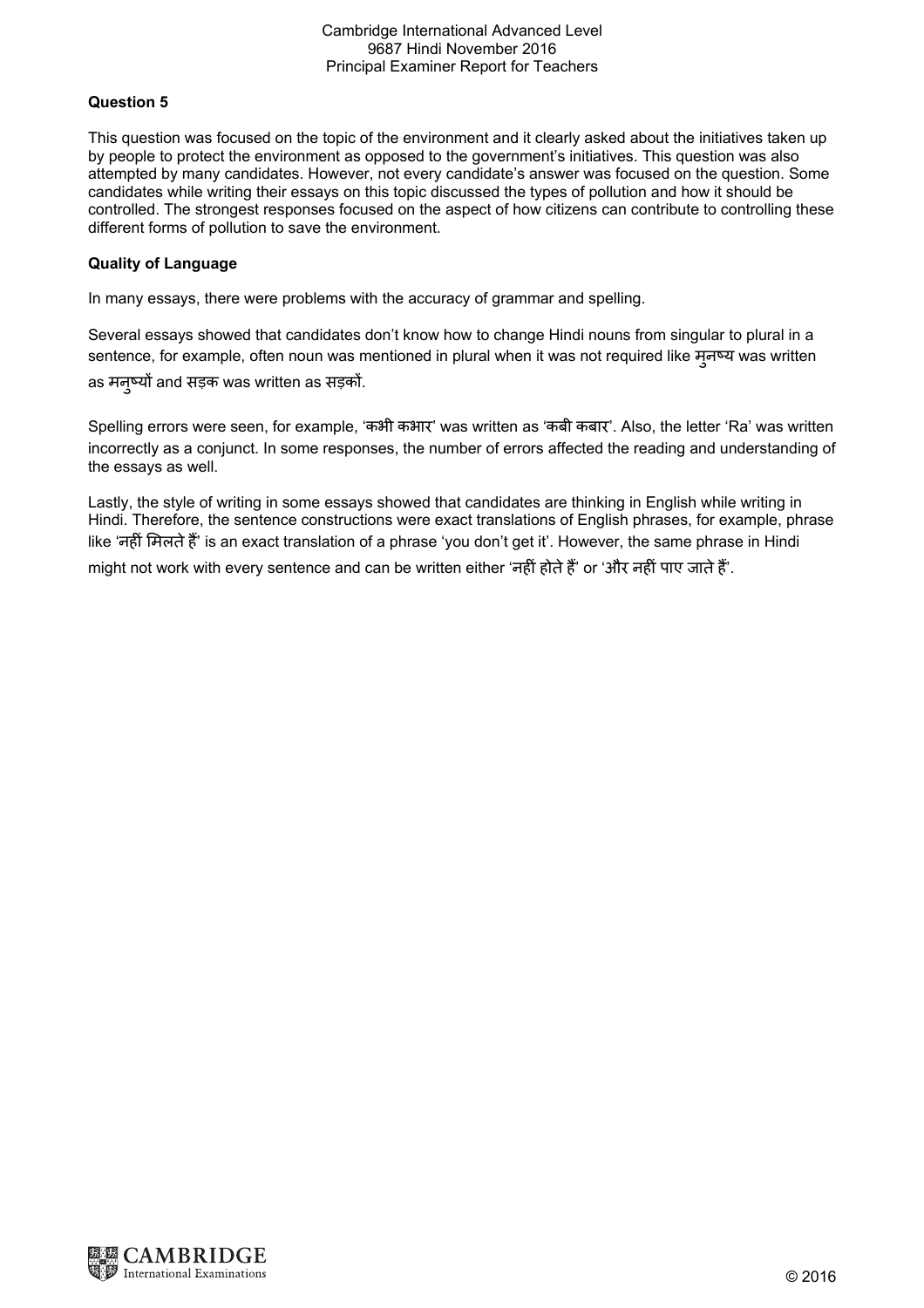## **Question 5**

This question was focused on the topic of the environment and it clearly asked about the initiatives taken up by people to protect the environment as opposed to the government's initiatives. This question was also attempted by many candidates. However, not every candidate's answer was focused on the question. Some candidates while writing their essays on this topic discussed the types of pollution and how it should be controlled. The strongest responses focused on the aspect of how citizens can contribute to controlling these different forms of pollution to save the environment.

## **Quality of Language**

In many essays, there were problems with the accuracy of grammar and spelling.

Several essays showed that candidates don't know how to change Hindi nouns from singular to plural in a sentence, for example, often noun was mentioned in plural when it was not required like मुनष्य was written as मनुष्यों and सड़क was written as सड़कों.

Spelling errors were seen, for example, 'कभी कभार' was written as 'कबी कबार'. Also, the letter 'Ra' was written incorrectly as a conjunct. In some responses, the number of errors affected the reading and understanding of the essays as well.

Lastly, the style of writing in some essays showed that candidates are thinking in English while writing in Hindi. Therefore, the sentence constructions were exact translations of English phrases, for example, phrase like 'नहीं मिलते हैं' is an exact translation of a phrase 'you don't get it'. However, the same phrase in Hindi might not work with every sentence and can be written either 'नहीं होते हैं' or 'और नहीं पाए जाते हैं'.

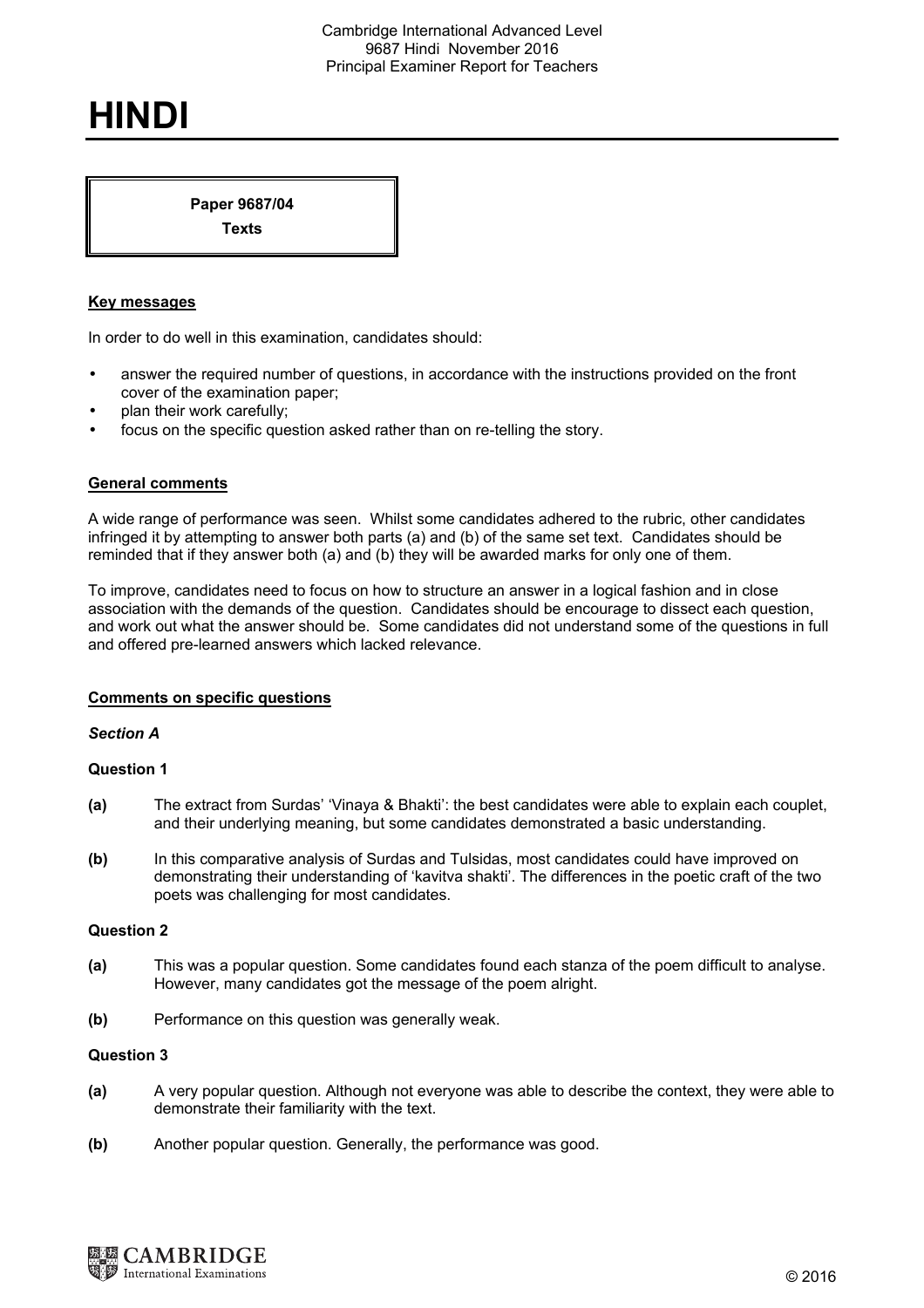# **HINDI**

**Paper 9687/04 Texts** 

**Key messages** 

In order to do well in this examination, candidates should:

- answer the required number of questions, in accordance with the instructions provided on the front cover of the examination paper;
- plan their work carefully;
- focus on the specific question asked rather than on re-telling the story.

#### **General comments**

A wide range of performance was seen. Whilst some candidates adhered to the rubric, other candidates infringed it by attempting to answer both parts (a) and (b) of the same set text. Candidates should be reminded that if they answer both (a) and (b) they will be awarded marks for only one of them.

To improve, candidates need to focus on how to structure an answer in a logical fashion and in close association with the demands of the question. Candidates should be encourage to dissect each question, and work out what the answer should be. Some candidates did not understand some of the questions in full and offered pre-learned answers which lacked relevance.

#### **Comments on specific questions**

#### *Section A*

#### **Question 1**

- **(a)** The extract from Surdas' 'Vinaya & Bhakti': the best candidates were able to explain each couplet, and their underlying meaning, but some candidates demonstrated a basic understanding.
- **(b)** In this comparative analysis of Surdas and Tulsidas, most candidates could have improved on demonstrating their understanding of 'kavitva shakti'. The differences in the poetic craft of the two poets was challenging for most candidates.

#### **Question 2**

- **(a)** This was a popular question. Some candidates found each stanza of the poem difficult to analyse. However, many candidates got the message of the poem alright.
- **(b)** Performance on this question was generally weak.

#### **Question 3**

- **(a)** A very popular question. Although not everyone was able to describe the context, they were able to demonstrate their familiarity with the text.
- **(b)** Another popular question. Generally, the performance was good.

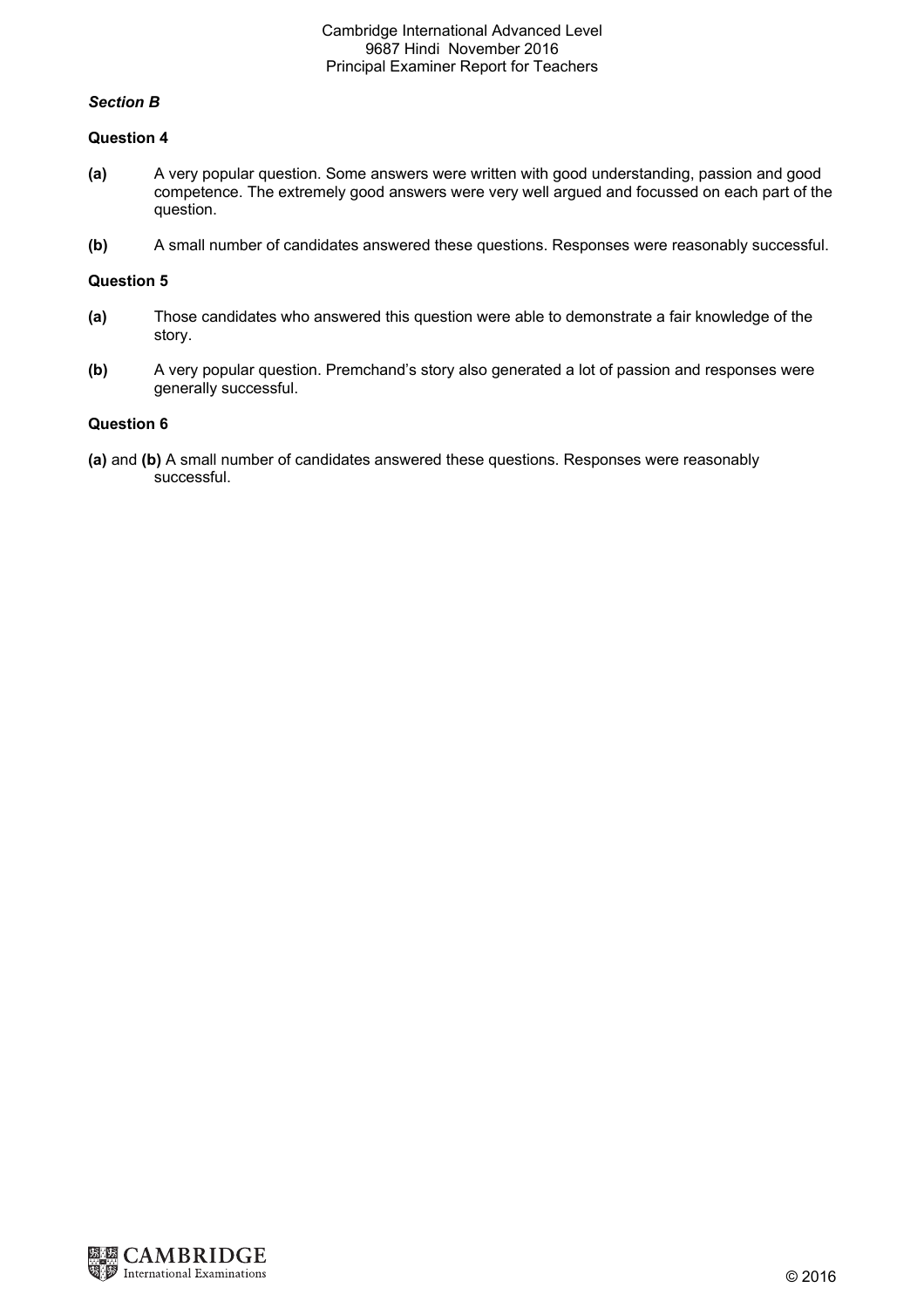## *Section B*

#### **Question 4**

- **(a)** A very popular question. Some answers were written with good understanding, passion and good competence. The extremely good answers were very well argued and focussed on each part of the question.
- **(b)** A small number of candidates answered these questions. Responses were reasonably successful.

## **Question 5**

- **(a)** Those candidates who answered this question were able to demonstrate a fair knowledge of the story.
- **(b)** A very popular question. Premchand's story also generated a lot of passion and responses were generally successful.

## **Question 6**

**(a)** and **(b)** A small number of candidates answered these questions. Responses were reasonably successful.

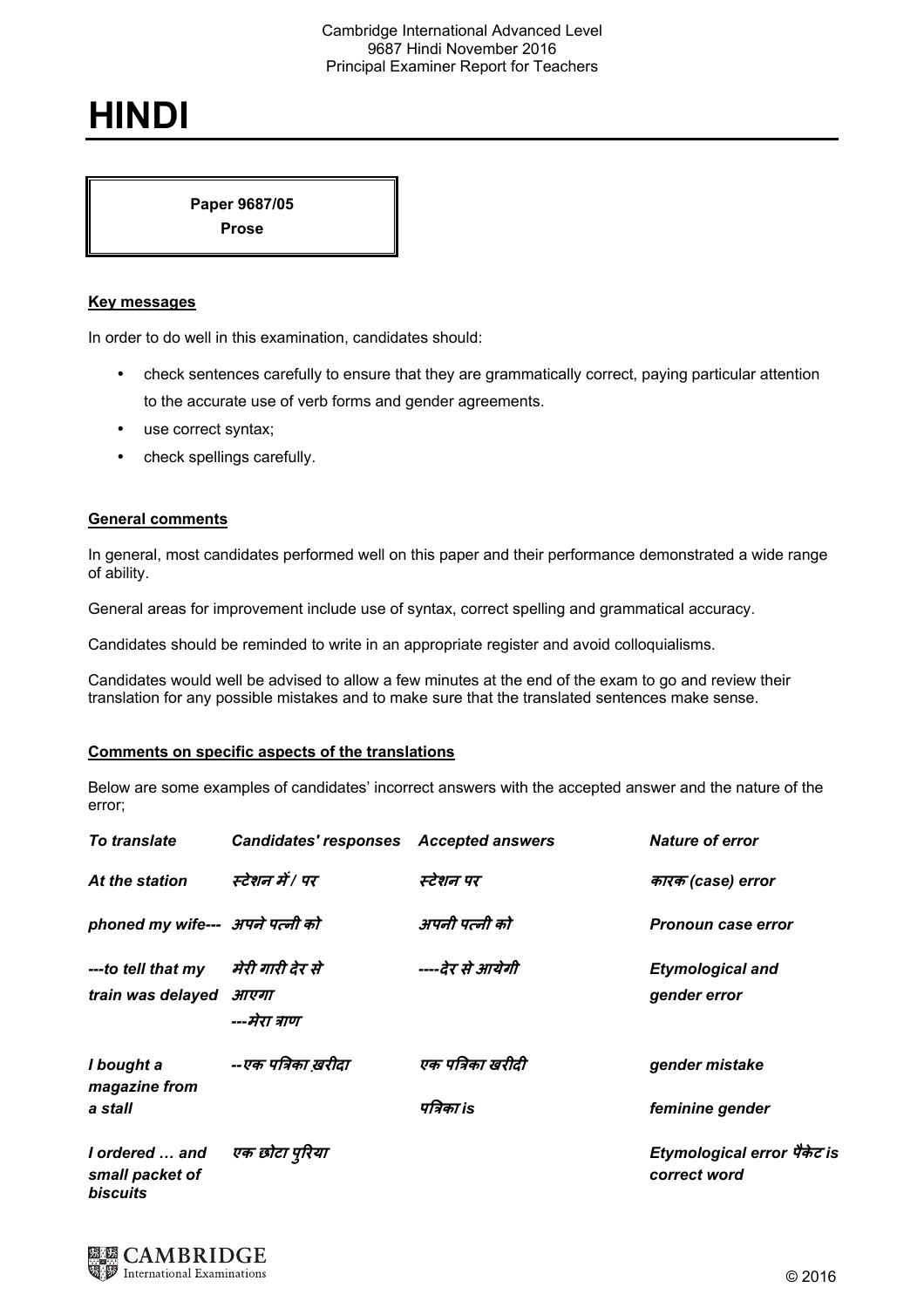# **HINDI**

**Paper 9687/05 Prose** 

## **Key messages**

In order to do well in this examination, candidates should:

- check sentences carefully to ensure that they are grammatically correct, paying particular attention to the accurate use of verb forms and gender agreements.
- use correct syntax;
- check spellings carefully.

### **General comments**

In general, most candidates performed well on this paper and their performance demonstrated a wide range of ability.

General areas for improvement include use of syntax, correct spelling and grammatical accuracy.

Candidates should be reminded to write in an appropriate register and avoid colloquialisms.

Candidates would well be advised to allow a few minutes at the end of the exam to go and review their translation for any possible mistakes and to make sure that the translated sentences make sense.

#### **Comments on specific aspects of the translations**

Below are some examples of candidates' incorrect answers with the accepted answer and the nature of the error;

| To translate                                         | <b>Candidates' responses</b> Accepted answers |                                | <b>Nature of error</b>                      |
|------------------------------------------------------|-----------------------------------------------|--------------------------------|---------------------------------------------|
| At the station                                       | स्टेशन में / पर                               | स्टेशन पर                      | कारक (case) error                           |
| phoned my wife--- अपने पत्नी को                      |                                               | अपनी पत्नी को                  | Pronoun case error                          |
| --- to tell that my<br>train was delayed             | मेरी गारी देर से<br>आएगा<br>---मेरा त्राण     | ----देर से आयेगी               | <b>Etymological and</b><br>gender error     |
| I bought a<br>magazine from<br>a stall               | --एक पत्रिका खरीदा                            | एक पत्रिका खरीदी<br>पत्रिका is | gender mistake<br>feminine gender           |
| I ordered  and<br>small packet of<br><b>biscuits</b> | एक छोटा पुरिया                                |                                | Etymological error पैकेट is<br>correct word |